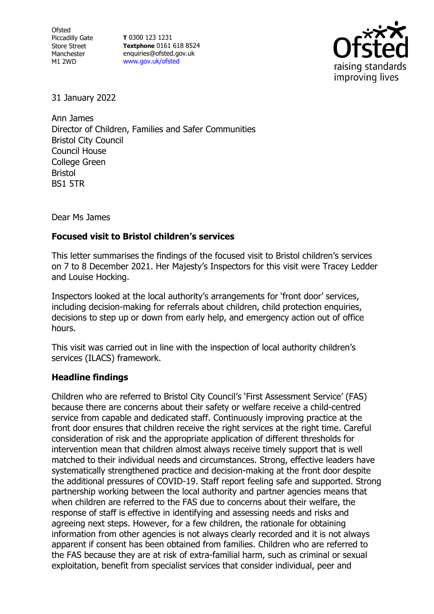Ofsted Piccadilly Gate Store Street Manchester M1 2WD

**T** 0300 123 1231 **Textphone** 0161 618 8524 enquiries@ofsted.gov.uk [www.gov.uk/ofsted](http://www.gov.uk/ofsted)



31 January 2022

Ann James Director of Children, Families and Safer Communities Bristol City Council Council House College Green Bristol BS1 5TR

Dear Ms James

## **Focused visit to Bristol children's services**

This letter summarises the findings of the focused visit to Bristol children's services on 7 to 8 December 2021. Her Majesty's Inspectors for this visit were Tracey Ledder and Louise Hocking.

Inspectors looked at the local authority's arrangements for 'front door' services, including decision-making for referrals about children, child protection enquiries, decisions to step up or down from early help, and emergency action out of office hours.

This visit was carried out in line with the inspection of local authority children's services (ILACS) framework.

## **Headline findings**

Children who are referred to Bristol City Council's 'First Assessment Service' (FAS) because there are concerns about their safety or welfare receive a child-centred service from capable and dedicated staff. Continuously improving practice at the front door ensures that children receive the right services at the right time. Careful consideration of risk and the appropriate application of different thresholds for intervention mean that children almost always receive timely support that is well matched to their individual needs and circumstances. Strong, effective leaders have systematically strengthened practice and decision-making at the front door despite the additional pressures of COVID-19. Staff report feeling safe and supported. Strong partnership working between the local authority and partner agencies means that when children are referred to the FAS due to concerns about their welfare, the response of staff is effective in identifying and assessing needs and risks and agreeing next steps. However, for a few children, the rationale for obtaining information from other agencies is not always clearly recorded and it is not always apparent if consent has been obtained from families. Children who are referred to the FAS because they are at risk of extra-familial harm, such as criminal or sexual exploitation, benefit from specialist services that consider individual, peer and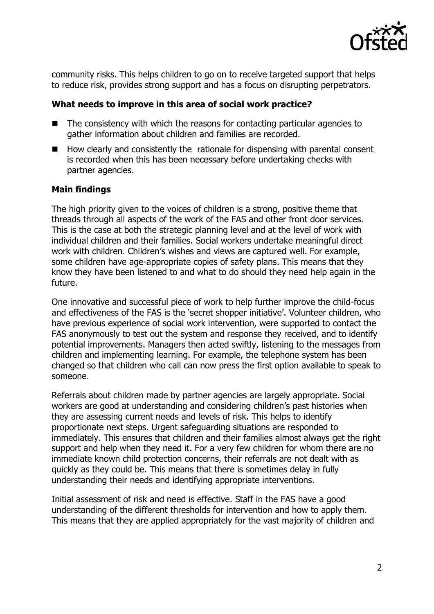

community risks. This helps children to go on to receive targeted support that helps to reduce risk, provides strong support and has a focus on disrupting perpetrators.

## **What needs to improve in this area of social work practice?**

- The consistency with which the reasons for contacting particular agencies to gather information about children and families are recorded.
- ◼ How clearly and consistently the rationale for dispensing with parental consent is recorded when this has been necessary before undertaking checks with partner agencies.

## **Main findings**

The high priority given to the voices of children is a strong, positive theme that threads through all aspects of the work of the FAS and other front door services. This is the case at both the strategic planning level and at the level of work with individual children and their families. Social workers undertake meaningful direct work with children. Children's wishes and views are captured well. For example, some children have age-appropriate copies of safety plans. This means that they know they have been listened to and what to do should they need help again in the future.

One innovative and successful piece of work to help further improve the child-focus and effectiveness of the FAS is the 'secret shopper initiative'. Volunteer children, who have previous experience of social work intervention, were supported to contact the FAS anonymously to test out the system and response they received, and to identify potential improvements. Managers then acted swiftly, listening to the messages from children and implementing learning. For example, the telephone system has been changed so that children who call can now press the first option available to speak to someone.

Referrals about children made by partner agencies are largely appropriate. Social workers are good at understanding and considering children's past histories when they are assessing current needs and levels of risk. This helps to identify proportionate next steps. Urgent safeguarding situations are responded to immediately. This ensures that children and their families almost always get the right support and help when they need it. For a very few children for whom there are no immediate known child protection concerns, their referrals are not dealt with as quickly as they could be. This means that there is sometimes delay in fully understanding their needs and identifying appropriate interventions.

Initial assessment of risk and need is effective. Staff in the FAS have a good understanding of the different thresholds for intervention and how to apply them. This means that they are applied appropriately for the vast majority of children and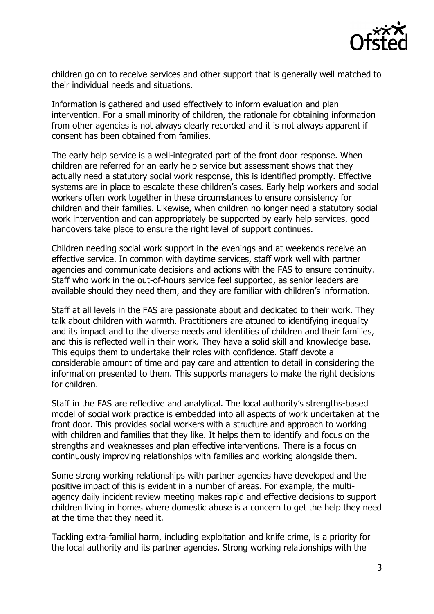

children go on to receive services and other support that is generally well matched to their individual needs and situations.

Information is gathered and used effectively to inform evaluation and plan intervention. For a small minority of children, the rationale for obtaining information from other agencies is not always clearly recorded and it is not always apparent if consent has been obtained from families.

The early help service is a well-integrated part of the front door response. When children are referred for an early help service but assessment shows that they actually need a statutory social work response, this is identified promptly. Effective systems are in place to escalate these children's cases. Early help workers and social workers often work together in these circumstances to ensure consistency for children and their families. Likewise, when children no longer need a statutory social work intervention and can appropriately be supported by early help services, good handovers take place to ensure the right level of support continues.

Children needing social work support in the evenings and at weekends receive an effective service. In common with daytime services, staff work well with partner agencies and communicate decisions and actions with the FAS to ensure continuity. Staff who work in the out-of-hours service feel supported, as senior leaders are available should they need them, and they are familiar with children's information.

Staff at all levels in the FAS are passionate about and dedicated to their work. They talk about children with warmth. Practitioners are attuned to identifying inequality and its impact and to the diverse needs and identities of children and their families, and this is reflected well in their work. They have a solid skill and knowledge base. This equips them to undertake their roles with confidence. Staff devote a considerable amount of time and pay care and attention to detail in considering the information presented to them. This supports managers to make the right decisions for children.

Staff in the FAS are reflective and analytical. The local authority's strengths-based model of social work practice is embedded into all aspects of work undertaken at the front door. This provides social workers with a structure and approach to working with children and families that they like. It helps them to identify and focus on the strengths and weaknesses and plan effective interventions. There is a focus on continuously improving relationships with families and working alongside them.

Some strong working relationships with partner agencies have developed and the positive impact of this is evident in a number of areas. For example, the multiagency daily incident review meeting makes rapid and effective decisions to support children living in homes where domestic abuse is a concern to get the help they need at the time that they need it.

Tackling extra-familial harm, including exploitation and knife crime, is a priority for the local authority and its partner agencies. Strong working relationships with the